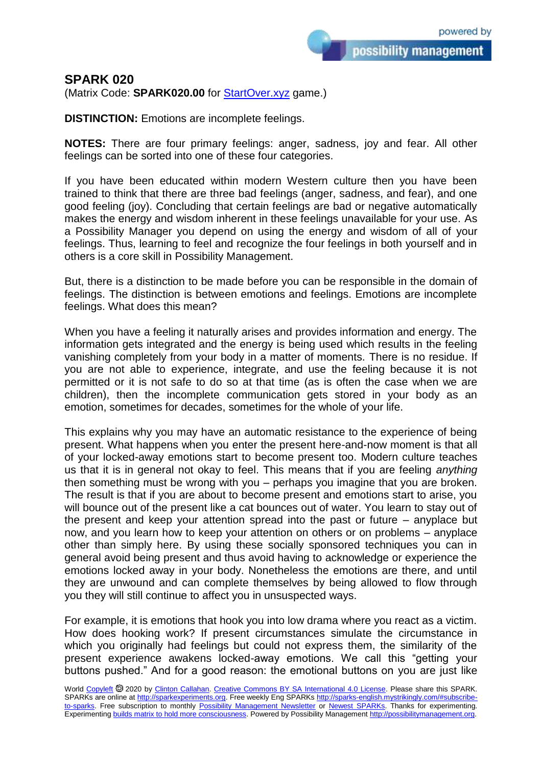possibility management

## **SPARK 020**

(Matrix Code: **SPARK020.00** for [StartOver.xyz](https://startoverxyz.mystrikingly.com/) game.)

**DISTINCTION:** Emotions are incomplete feelings.

**NOTES:** There are four primary feelings: anger, sadness, joy and fear. All other feelings can be sorted into one of these four categories.

If you have been educated within modern Western culture then you have been trained to think that there are three bad feelings (anger, sadness, and fear), and one good feeling (joy). Concluding that certain feelings are bad or negative automatically makes the energy and wisdom inherent in these feelings unavailable for your use. As a Possibility Manager you depend on using the energy and wisdom of all of your feelings. Thus, learning to feel and recognize the four feelings in both yourself and in others is a core skill in Possibility Management.

But, there is a distinction to be made before you can be responsible in the domain of feelings. The distinction is between emotions and feelings. Emotions are incomplete feelings. What does this mean?

When you have a feeling it naturally arises and provides information and energy. The information gets integrated and the energy is being used which results in the feeling vanishing completely from your body in a matter of moments. There is no residue. If you are not able to experience, integrate, and use the feeling because it is not permitted or it is not safe to do so at that time (as is often the case when we are children), then the incomplete communication gets stored in your body as an emotion, sometimes for decades, sometimes for the whole of your life.

This explains why you may have an automatic resistance to the experience of being present. What happens when you enter the present here-and-now moment is that all of your locked-away emotions start to become present too. Modern culture teaches us that it is in general not okay to feel. This means that if you are feeling *anything* then something must be wrong with you – perhaps you imagine that you are broken. The result is that if you are about to become present and emotions start to arise, you will bounce out of the present like a cat bounces out of water. You learn to stay out of the present and keep your attention spread into the past or future – anyplace but now, and you learn how to keep your attention on others or on problems – anyplace other than simply here. By using these socially sponsored techniques you can in general avoid being present and thus avoid having to acknowledge or experience the emotions locked away in your body. Nonetheless the emotions are there, and until they are unwound and can complete themselves by being allowed to flow through you they will still continue to affect you in unsuspected ways.

For example, it is emotions that hook you into low drama where you react as a victim. How does hooking work? If present circumstances simulate the circumstance in which you originally had feelings but could not express them, the similarity of the present experience awakens locked-away emotions. We call this "getting your buttons pushed." And for a good reason: the emotional buttons on you are just like

World [Copyleft](https://en.wikipedia.org/wiki/Copyleft) @ 2020 by [Clinton Callahan.](http://clintoncallahan.mystrikingly.com/) [Creative Commons BY SA International 4.0 License.](https://creativecommons.org/licenses/by-sa/4.0/) Please share this SPARK. SPARKs are online at [http://sparkexperiments.org.](http://sparks-english.mystrikingly.com/) Free weekly Eng SPARKs [http://sparks-english.mystrikingly.com/#subscribe](http://sparks-english.mystrikingly.com/#subscribe-to-sparks)[to-sparks.](http://sparks-english.mystrikingly.com/#subscribe-to-sparks) Free subscription to monthly [Possibility Management Newsletter](https://possibilitymanagement.org/news/) or [Newest SPARKs.](https://www.clintoncallahan.org/newsletter-1) Thanks for experimenting. Experimentin[g builds matrix to hold more consciousness.](http://spaceport.mystrikingly.com/) Powered by Possibility Managemen[t http://possibilitymanagement.org.](http://possibilitymanagement.org/)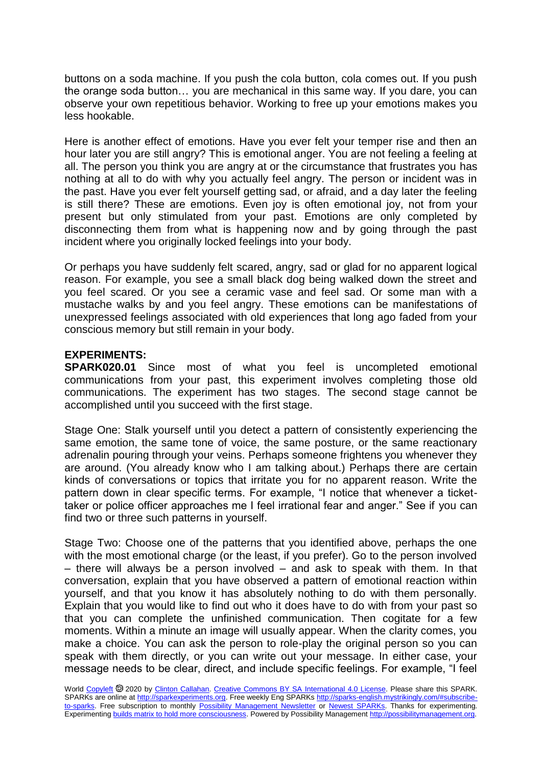buttons on a soda machine. If you push the cola button, cola comes out. If you push the orange soda button… you are mechanical in this same way. If you dare, you can observe your own repetitious behavior. Working to free up your emotions makes you less hookable.

Here is another effect of emotions. Have you ever felt your temper rise and then an hour later you are still angry? This is emotional anger. You are not feeling a feeling at all. The person you think you are angry at or the circumstance that frustrates you has nothing at all to do with why you actually feel angry. The person or incident was in the past. Have you ever felt yourself getting sad, or afraid, and a day later the feeling is still there? These are emotions. Even joy is often emotional joy, not from your present but only stimulated from your past. Emotions are only completed by disconnecting them from what is happening now and by going through the past incident where you originally locked feelings into your body.

Or perhaps you have suddenly felt scared, angry, sad or glad for no apparent logical reason. For example, you see a small black dog being walked down the street and you feel scared. Or you see a ceramic vase and feel sad. Or some man with a mustache walks by and you feel angry. These emotions can be manifestations of unexpressed feelings associated with old experiences that long ago faded from your conscious memory but still remain in your body.

## **EXPERIMENTS:**

**SPARK020.01** Since most of what you feel is uncompleted emotional communications from your past, this experiment involves completing those old communications. The experiment has two stages. The second stage cannot be accomplished until you succeed with the first stage.

Stage One: Stalk yourself until you detect a pattern of consistently experiencing the same emotion, the same tone of voice, the same posture, or the same reactionary adrenalin pouring through your veins. Perhaps someone frightens you whenever they are around. (You already know who I am talking about.) Perhaps there are certain kinds of conversations or topics that irritate you for no apparent reason. Write the pattern down in clear specific terms. For example, "I notice that whenever a tickettaker or police officer approaches me I feel irrational fear and anger." See if you can find two or three such patterns in yourself.

Stage Two: Choose one of the patterns that you identified above, perhaps the one with the most emotional charge (or the least, if you prefer). Go to the person involved – there will always be a person involved – and ask to speak with them. In that conversation, explain that you have observed a pattern of emotional reaction within yourself, and that you know it has absolutely nothing to do with them personally. Explain that you would like to find out who it does have to do with from your past so that you can complete the unfinished communication. Then cogitate for a few moments. Within a minute an image will usually appear. When the clarity comes, you make a choice. You can ask the person to role-play the original person so you can speak with them directly, or you can write out your message. In either case, your message needs to be clear, direct, and include specific feelings. For example, "I feel